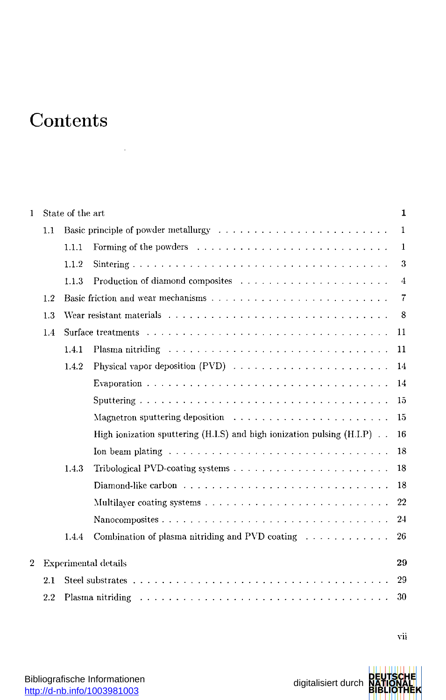## Content s

l,

| 1              |                                   | State of the art<br>1 |                                                                                                                                                                                                                               |                |  |  |
|----------------|-----------------------------------|-----------------------|-------------------------------------------------------------------------------------------------------------------------------------------------------------------------------------------------------------------------------|----------------|--|--|
|                | 1.1                               |                       | Basic principle of powder metallurgy                                                                                                                                                                                          | $\mathbf{1}$   |  |  |
|                |                                   | 1.1.1                 |                                                                                                                                                                                                                               | 1              |  |  |
|                |                                   | 1.1.2                 |                                                                                                                                                                                                                               | 3              |  |  |
|                |                                   | 1.1.3                 |                                                                                                                                                                                                                               | $\overline{4}$ |  |  |
|                | 1.2                               |                       |                                                                                                                                                                                                                               | $\overline{7}$ |  |  |
|                | 1.3                               |                       |                                                                                                                                                                                                                               |                |  |  |
|                | 1.4                               |                       |                                                                                                                                                                                                                               | 11             |  |  |
|                |                                   | 1.4.1                 |                                                                                                                                                                                                                               | 11             |  |  |
|                |                                   | 1.4.2                 |                                                                                                                                                                                                                               | 14             |  |  |
|                |                                   |                       |                                                                                                                                                                                                                               | 14             |  |  |
|                |                                   |                       |                                                                                                                                                                                                                               | 15             |  |  |
|                |                                   |                       | Magnetron sputtering deposition $\ldots \ldots \ldots \ldots \ldots \ldots \ldots$                                                                                                                                            | 15             |  |  |
|                |                                   |                       | High ionization sputtering $(H.I.S)$ and high ionization pulsing $(H.I.P)$ .                                                                                                                                                  | 16             |  |  |
|                |                                   |                       | Ion beam plating $\ldots \ldots \ldots \ldots \ldots \ldots \ldots \ldots \ldots \ldots$                                                                                                                                      | 18             |  |  |
|                |                                   | 1.4.3                 |                                                                                                                                                                                                                               | 18             |  |  |
|                |                                   |                       |                                                                                                                                                                                                                               | 18             |  |  |
|                |                                   |                       |                                                                                                                                                                                                                               | 22             |  |  |
|                |                                   |                       |                                                                                                                                                                                                                               | 24             |  |  |
|                |                                   | 1.4.4                 | Combination of plasma nitriding and PVD coating $\ldots \ldots \ldots \ldots$                                                                                                                                                 | 26             |  |  |
| $\overline{2}$ | 29<br><b>Experimental details</b> |                       |                                                                                                                                                                                                                               |                |  |  |
|                |                                   | 29                    |                                                                                                                                                                                                                               |                |  |  |
|                | 2.2                               |                       | Plasma nitriding responses to the contract of the contract of the contract of the contract of the contract of the contract of the contract of the contract of the contract of the contract of the contract of the contract of | 30             |  |  |

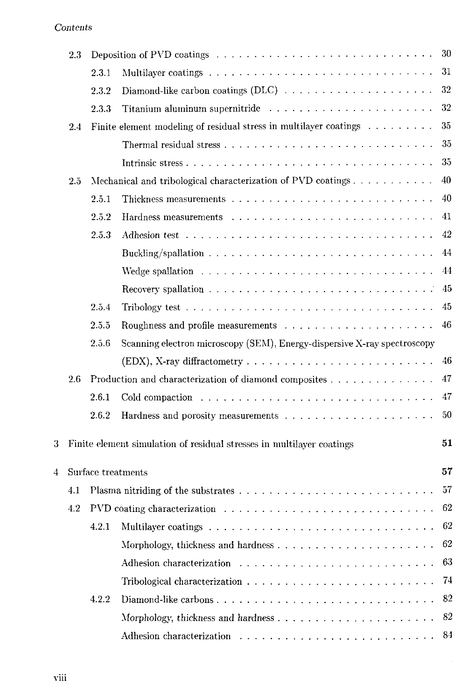## Contents

|                | 2.3 |                                                                             |                                                                                                      | 30       |  |  |
|----------------|-----|-----------------------------------------------------------------------------|------------------------------------------------------------------------------------------------------|----------|--|--|
|                |     | 2.3.1                                                                       |                                                                                                      | 31       |  |  |
|                |     | 2.3.2                                                                       | Diamond-like carbon coatings (DLC) $\ldots \ldots \ldots \ldots \ldots \ldots \ldots$                | 32       |  |  |
|                |     | 2.3.3                                                                       |                                                                                                      | 32       |  |  |
|                | 2.4 |                                                                             | Finite element modeling of residual stress in multilayer coatings $\ldots \ldots \ldots$             | 35       |  |  |
|                |     |                                                                             |                                                                                                      | 35       |  |  |
|                |     |                                                                             |                                                                                                      | 35       |  |  |
| 25             |     |                                                                             |                                                                                                      | 40       |  |  |
|                |     | 2.5.1                                                                       | Thickness measurements $\ldots \ldots \ldots \ldots \ldots \ldots \ldots \ldots \ldots \ldots$       | 40       |  |  |
|                |     | 2.5.2                                                                       |                                                                                                      | 41       |  |  |
|                |     | 2.5.3                                                                       |                                                                                                      | 42       |  |  |
|                |     |                                                                             |                                                                                                      | 44       |  |  |
|                |     |                                                                             | Wedge spallation $\ldots \ldots \ldots \ldots \ldots \ldots \ldots \ldots \ldots \ldots \ldots$      | 44       |  |  |
|                |     |                                                                             | Recovery spallation $\ldots \ldots \ldots \ldots \ldots \ldots \ldots \ldots \ldots \ldots$          | 45       |  |  |
|                |     | 2.5.4                                                                       | Tribology test $\ldots \ldots \ldots \ldots \ldots \ldots \ldots \ldots \ldots \ldots \ldots$        | 45       |  |  |
|                |     | 2.5.5                                                                       |                                                                                                      | 46       |  |  |
|                |     | 2.5.6                                                                       | Scanning electron microscopy (SEM), Energy-dispersive X-ray spectroscopy                             |          |  |  |
|                |     |                                                                             |                                                                                                      | 46       |  |  |
|                | 2.6 | Production and characterization of diamond composites                       |                                                                                                      |          |  |  |
|                |     | 2.6.1                                                                       |                                                                                                      | 47       |  |  |
|                |     | 2.6.2                                                                       |                                                                                                      | 50       |  |  |
| 3              |     | 51<br>Finite element simulation of residual stresses in multilayer coatings |                                                                                                      |          |  |  |
| $\overline{4}$ |     |                                                                             |                                                                                                      | 57       |  |  |
|                | 4.1 | Surface treatments                                                          |                                                                                                      |          |  |  |
|                | 4.2 |                                                                             | PVD coating characterization $\ldots \ldots \ldots \ldots \ldots \ldots \ldots \ldots \ldots \ldots$ | 57<br>62 |  |  |
|                |     | 4.2.1                                                                       |                                                                                                      | 62       |  |  |
|                |     |                                                                             |                                                                                                      | 62       |  |  |
|                |     |                                                                             |                                                                                                      | 63       |  |  |
|                |     |                                                                             |                                                                                                      | 74       |  |  |
|                |     |                                                                             | Tribological characterization $\ldots$ , , , , ,                                                     | 82       |  |  |
|                |     | 4.2.2                                                                       | Diamond-like carbons                                                                                 |          |  |  |
|                |     |                                                                             |                                                                                                      | 82       |  |  |
|                |     |                                                                             |                                                                                                      | 84       |  |  |